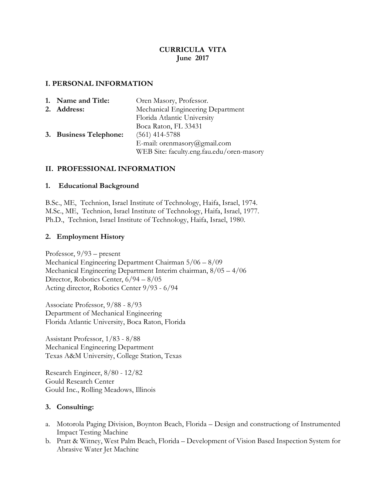## **CURRICULA VITA June 2017**

### **I. PERSONAL INFORMATION**

| 1. Name and Title:     | Oren Masory, Professor.                   |
|------------------------|-------------------------------------------|
| 2. Address:            | Mechanical Engineering Department         |
|                        | Florida Atlantic University               |
|                        | Boca Raton, FL 33431                      |
| 3. Business Telephone: | $(561)$ 414-5788                          |
|                        | E-mail: orenmasory@gmail.com              |
|                        | WEB Site: faculty.eng.fau.edu/oren-masory |

### **II. PROFESSIONAL INFORMATION**

### **1. Educational Background**

B.Sc., ME, Technion, Israel Institute of Technology, Haifa, Israel, 1974. M.Sc., ME, Technion, Israel Institute of Technology, Haifa, Israel, 1977. Ph.D., Technion, Israel Institute of Technology, Haifa, Israel, 1980.

### **2. Employment History**

Professor, 9/93 – present Mechanical Engineering Department Chairman 5/06 – 8/09 Mechanical Engineering Department Interim chairman, 8/05 – 4/06 Director, Robotics Center, 6/94 – 8/05 Acting director, Robotics Center 9/93 - 6/94

Associate Professor, 9/88 - 8/93 Department of Mechanical Engineering Florida Atlantic University, Boca Raton, Florida

Assistant Professor, 1/83 - 8/88 Mechanical Engineering Department Texas A&M University, College Station, Texas

Research Engineer, 8/80 - 12/82 Gould Research Center Gould Inc., Rolling Meadows, Illinois

### **3. Consulting:**

- a. Motorola Paging Division, Boynton Beach, Florida Design and constructiong of Instrumented Impact Testing Machine
- b. Pratt & Witney, West Palm Beach, Florida Development of Vision Based Inspection System for Abrasive Water Jet Machine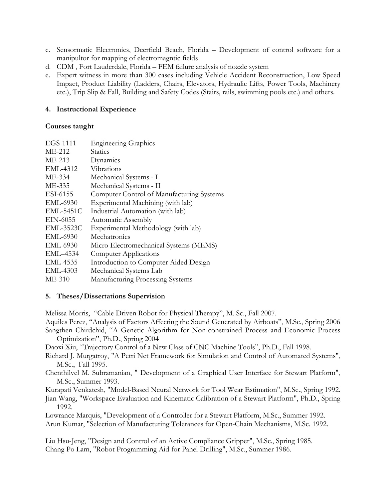- c. Sensormatic Electronics, Deerfield Beach, Florida Development of control software for a manipultor for mapping of electromagntic fields
- d. CDM , Fort Lauderdale, Florida FEM failure analysis of nozzle system
- e. Expert witness in more than 300 cases including Vehicle Accident Reconstruction, Low Speed Impact, Product Liability (Ladders, Chairs, Elevators, Hydraulic Lifts, Power Tools, Machinery etc.), Trip Slip & Fall, Building and Safety Codes (Stairs, rails, swimming pools etc.) and others.

## **4. Instructional Experience**

## **Courses taught**

| EGS-1111         | <b>Engineering Graphics</b>               |
|------------------|-------------------------------------------|
| ME-212           | Statics                                   |
| ME-213           | Dynamics                                  |
| EML-4312         | Vibrations                                |
| ME-334           | Mechanical Systems - I                    |
| ME-335           | Mechanical Systems - II                   |
| ESI-6155         | Computer Control of Manufacturing Systems |
| EML-6930         | Experimental Machining (with lab)         |
| <b>EML-5451C</b> | Industrial Automation (with lab)          |
| EIN-6055         | <b>Automatic Assembly</b>                 |
| EML-3523C        | Experimental Methodology (with lab)       |
| EML-6930         | Mechatronics                              |
| EML-6930         | Micro Electromechanical Systems (MEMS)    |
| EML-4534         | <b>Computer Applications</b>              |
| EML-4535         | Introduction to Computer Aided Design     |
| EML-4303         | Mechanical Systems Lab                    |
| ME-310           | Manufacturing Processing Systems          |

## **5. Theses/Dissertations Supervision**

Melissa Morris, "Cable Driven Robot for Physical Therapy", M. Sc., Fall 2007.

Aquiles Perez, "Analysis of Factors Affecting the Sound Generated by Airboats", M.Sc., Spring 2006 Sangthen Chirdchid, "A Genetic Algorithm for Non-constrained Process and Economic Process Optimization", Ph.D., Spring 2004

Daoxi Xiu, "Trajectory Control of a New Class of CNC Machine Tools", Ph.D., Fall 1998.

Richard J. Murgatroy, "A Petri Net Framework for Simulation and Control of Automated Systems", M.Sc., Fall 1995.

Chenthilvel M. Subramanian, " Development of a Graphical User Interface for Stewart Platform", M.Sc., Summer 1993.

Kurapati Venkatesh, "Model-Based Neural Network for Tool Wear Estimation", M.Sc., Spring 1992.

Jian Wang, "Workspace Evaluation and Kinematic Calibration of a Stewart Platform", Ph.D., Spring 1992.

Lowrance Marquis, "Development of a Controller for a Stewart Platform, M.Sc., Summer 1992. Arun Kumar, "Selection of Manufacturing Tolerances for Open-Chain Mechanisms, M.Sc. 1992.

Liu Hsu-Jeng, "Design and Control of an Active Compliance Gripper", M.Sc., Spring 1985. Chang Po Lam, "Robot Programming Aid for Panel Drilling", M.Sc., Summer 1986.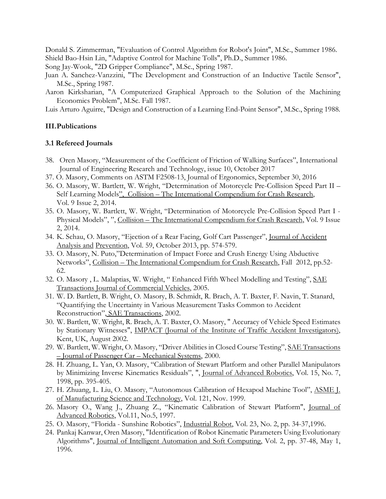Donald S. Zimmerman, "Evaluation of Control Algorithm for Robot's Joint", M.Sc., Summer 1986. Shield Bao-Hsin Lin, "Adaptive Control for Machine Tolls", Ph.D., Summer 1986.

Song Jay-Wook, "2D Gripper Compliance", M.Sc., Spring 1987.

- Juan A. Sanchez-Vanzzini, "The Development and Construction of an Inductive Tactile Sensor", M.Sc., Spring 1987.
- Aaron Kirksharian, "A Computerized Graphical Approach to the Solution of the Machining Economics Problem", M.Sc. Fall 1987.

Luis Arturo Aguirre, "Design and Construction of a Learning End-Point Sensor", M.Sc., Spring 1988.

## **III. Publications**

### **3.1 Refereed Journals**

- 38. Oren Masory, "Measurement of the Coefficient of Friction of Walking Surfaces", International Journal of Engineering Research and Technology, issue 10, October 2017
- 37. O. Masory, Comments on ASTM F2508-13, Journal of Ergonomics, September 30, 2016
- 36. O. Masory, W. Bartlett, W. Wright, "Determination of Motorcycle Pre-Collision Speed Part II Self Learning Models", Collision – The International Compendium for Crash Research, Vol. 9 Issue 2, 2014.
- 35. O. Masory, W. Bartlett, W. Wright, "Determination of Motorcycle Pre-Collision Speed Part I Physical Models", ", Collision – The International Compendium for Crash Research, Vol. 9 Issue 2, 2014.
- 34. K. Schau, O. Masory, "Ejection of a Rear Facing, Golf Cart Passenger", Journal of Accident Analysis and Prevention, Vol. 59, October 2013, pp. 574-579.
- 33. O. Masory, N. Puto,"Determination of Impact Force and Crush Energy Using Abductive Networks", Collision – The International Compendium for Crash Research, Fall 2012, pp.52- 62.
- 32. O. Masory , L. Malaptias, W. Wright, "Enhanced Fifth Wheel Modelling and Testing", SAE Transactions Journal of Commercial Vehicles, 2005.
- 31. W. D. Bartlett, B. Wright, O. Masory, B. Schmidt, R. Brach, A. T. Baxter, F. Navin, T. Stanard, "Quantifying the Uncertainty in Various Measurement Tasks Common to Accident Reconstruction", SAE Transactions, 2002.
- 30. W. Bartlett, W. Wright, R. Brach, A. T. Baxter, O. Masory, " Accuracy of Vehicle Speed Estimates by Stationary Witnesses", IMPACT (Journal of the Institute of Traffic Accident Investigators), Kent, UK, August 2002.
- 29. W. Bartlett, W. Wright, O. Masory, "Driver Abilities in Closed Course Testing", SAE Transactions – Journal of Passenger Car – Mechanical Systems, 2000.
- 28. H. Zhuang, L. Yan, O. Masory, "Calibration of Stewart Platform and other Parallel Manipulators by Minimizing Inverse Kinematics Residuals", ", Journal of Advanced Robotics, Vol. 15, No. 7, 1998, pp. 395-405.
- 27. H. Zhuang, L. Liu, O. Masory, "Autonomous Calibration of Hexapod Machine Tool", ASME J. of Manufacturing Science and Technology, Vol. 121, Nov. 1999.
- 26. Masory O., Wang J., Zhuang Z., "Kinematic Calibration of Stewart Platform", Journal of Advanced Robotics, Vol.11, No.5, 1997.
- 25. O. Masory, "Florida Sunshine Robotics", Industrial Robot, Vol. 23, No. 2, pp. 34-37,1996.
- 24. Pankaj Kanwar, Oren Masory, "Identification of Robot Kinematic Parameters Using Evolutionary Algorithms", Journal of Intelligent Automation and Soft Computing, Vol. 2, pp. 37-48, May 1, 1996.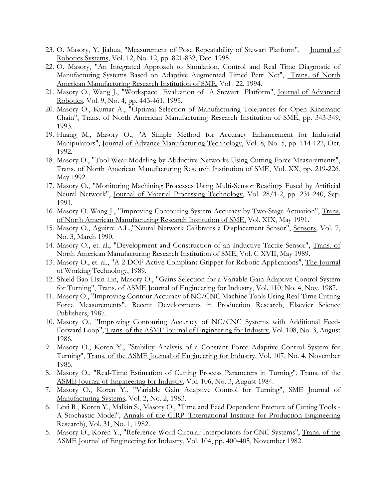- 23. O. Masory, Y, Jiahua, "Measurement of Pose Repeatability of Stewart Platform", Journal of Robotics Systems, Vol. 12, No. 12, pp. 821-832, Dec. 1995
- 22. O. Masory, "An Integrated Approach to Simulation, Control and Real Time Diagnostic of Manufacturing Systems Based on Adaptive Augmented Timed Petri Net", Trans. of North American Manufacturing Research Institution of SME, Vol . 22, 1994.
- 21. Masory O., Wang J., "Workspace Evaluation of A Stewart Platform", Journal of Advanced Robotics, Vol. 9, No. 4, pp. 443-461, 1995.
- 20. Masory O., Kumar A., "Optimal Selection of Manufacturing Tolerances for Open Kinematic Chain", Trans. of North American Manufacturing Research Institution of SME, pp. 343-349, 1993.
- 19. Huang M., Masory O., "A Simple Method for Accuracy Enhancement for Industrial Manipulators", <u>Iournal of Advance Manufacturing Technology</u>, Vol. 8, No. 5, pp. 114-122, Oct. 1992.
- 18. Masory O., "Tool Wear Modeling by Abductive Networks Using Cutting Force Measurements", Trans. of North American Manufacturing Research Institution of SME, Vol. XX, pp. 219-226, May 1992.
- 17. Masory O., "Monitoring Machining Processes Using Multi-Sensor Readings Fused by Artificial Neural Network", Journal of Material Processing Technology, Vol. 28/1-2, pp. 231-240, Sep. 1991.
- 16. Masory O. Wang J., "Improving Contouring System Accuracy by Two-Stage Actuation", Trans. of North American Manufacturing Research Institution of SME, Vol. XIX, May 1991.
- 15. Masory O., Aguirre A.L.,"Neural Network Calibrates a Displacement Sensor", Sensors, Vol. 7, No. 3, March 1990.
- 14. Masory O., et. al., "Development and Construction of an Inductive Tactile Sensor", Trans. of North American Manufacturing Research Institution of SME, Vol. C XVII, May 1989.
- 13. Masory O., et. al., "A 2-DOF Active Compliant Gripper for Robotic Applications", The Journal of Working Technology, 1989.
- 12. Shield Bao-Hsin Lin, Masory O., "Gains Selection for a Variable Gain Adaptive Control System for Turning", Trans. of ASME Journal of Engineering for Industry, Vol. 110, No. 4, Nov. 1987.
- 11. Masory O., "Improving Contour Accuracy of NC/CNC Machine Tools Using Real-Time Cutting Force Measurements", Recent Developments in Production Research, Elsevier Science Publishers, 1987.
- 10. Masory O., "Improving Contouring Accuracy of NC/CNC Systems with Additional Feed-Forward Loop", Trans. of the ASME Journal of Engineering for Industry, Vol. 108, No. 3, August 1986.
- 9. Masory O., Koren Y., "Stability Analysis of a Constant Force Adaptive Control System for Turning", Trans. of the ASME Journal of Engineering for Industry, Vol. 107, No. 4, November 1985.
- 8. Masory O., "Real-Time Estimation of Cutting Process Parameters in Turning", Trans. of the ASME Journal of Engineering for Industry, Vol. 106, No. 3, August 1984.
- 7. Masory O., Koren Y., "Variable Gain Adaptive Control for Turning", SME Journal of Manufacturing Systems, Vol. 2, No. 2, 1983.
- 6. Levi R., Koren Y., Malkin S., Masory O., "Time and Feed Dependent Fracture of Cutting Tools A Stochastic Model", Annals of the CIRP (International Institute for Production Engineering Research), Vol. 31, No. 1, 1982.
- 5. Masory O., Koren Y., "Reference-Word Circular Interpolators for CNC Systems", Trans. of the ASME Journal of Engineering for Industry, Vol. 104, pp. 400-405, November 1982.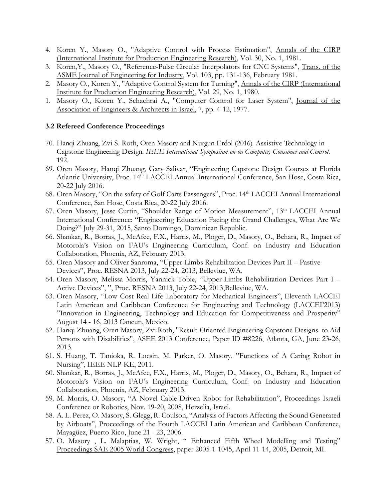- 4. Koren Y., Masory O., "Adaptive Control with Process Estimation", Annals of the CIRP (International Institute for Production Engineering Research), Vol. 30, No. 1, 1981.
- 3. Koren,Y., Masory O., "Reference-Pulse Circular Interpolators for CNC Systems", Trans. of the ASME Journal of Engineering for Industry, Vol. 103, pp. 131-136, February 1981.
- 2. Masory O., Koren Y., "Adaptive Control System for Turning", Annals of the CIRP (International Institute for Production Engineering Research), Vol. 29, No. 1, 1980.
- 1. Masory O., Koren Y., Schachrai A., "Computer Control for Laser System", Journal of the Association of Engineers & Architects in Israel, 7, pp. 4-12, 1977.

## **3.2 Refereed Conference Proceedings**

- 70. Hanqi Zhuang, Zvi S. Roth, Oren Masory and Nurgun Erdol (2016). Assistive Technology in Capstone Engineering Design. *IEEE International Symposium on on Computer, Consumer and Control*. 192.
- 69. Oren Masory, Hanqi Zhuang, Gary Salivar, "Engineering Capstone Design Courses at Florida Atlantic University, Proc. 14<sup>th</sup> LACCEI Annual International Conference, San Hose, Costa Rica, 20-22 July 2016.
- 68. Oren Masory, "On the safety of Golf Carts Passengers", Proc. 14th LACCEI Annual International Conference, San Hose, Costa Rica, 20-22 July 2016.
- 67. Oren Masory, Jesse Curtin, "Shoulder Range of Motion Measurement", 13<sup>th</sup> LACCEI Annual International Conference: "Engineering Education Facing the Grand Challenges, What Are We Doing?" July 29-31, 2015, Santo Domingo, Dominican Republic.
- 66. Shankar, R., Borras, J., McAfee, F.X., Harris, M., Ploger, D., Masory, O., Behara, R., Impact of Motorola's Vision on FAU's Engineering Curriculum, Conf. on Industry and Education Collaboration, Phoenix, AZ, February 2013.
- 65. Oren Masory and Oliver Sanroma, "Upper-Limbs Rehabilitation Devices Part II Pastive Devices", Proc. RESNA 2013, July 22-24, 2013, Belleviue, WA.
- 64. Oren Masory, Melissa Morris, Yannick Tobie, "Upper-Limbs Rehabilitation Devices Part I Active Devices", ", Proc. RESNA 2013, July 22-24, 2013,Belleviue, WA.
- 63. Oren Masory, "Low Cost Real Life Laboratory for Mechanical Engineers", Eleventh LACCEI Latin American and Caribbean Conference for Engineering and Technology (LACCEI'2013) "Innovation in Engineering, Technology and Education for Competitiveness and Prosperity" August 14 - 16, 2013 Cancun, Mexico.
- 62. Hanqi Zhuang, Oren Masory, Zvi Roth, "Result-Oriented Engineering Capstone Designs to Aid Persons with Disabilities", ASEE 2013 Conference, Paper ID #8226, Atlanta, GA, June 23-26, 2013.
- 61. S. Huang, T. Tanioka, R. Locsin, M. Parker, O. Masory, "Functions of A Caring Robot in Nursing", IEEE NLP-KE, 2011.
- 60. Shankar, R., Borras, J., McAfee, F.X., Harris, M., Ploger, D., Masory, O., Behara, R., Impact of Motorola's Vision on FAU's Engineering Curriculum, Conf. on Industry and Education Collaboration, Phoenix, AZ, February 2013.
- 59. M. Morris, O. Masory, "A Novel Cable-Driven Robot for Rehabilitation", Proceedings Israeli Conference or Robotics, Nov. 19-20, 2008, Herzelia, Israel.
- 58. A. L. Perez, O. Masory, S. Glegg, R. Coulson, "Analysis of Factors Affecting the Sound Generated by Airboats", Proceedings of the Fourth LACCEI Latin American and Caribbean Conference, Mayagüez, Puerto Rico, June 21 - 23, 2006.
- 57. O. Masory , L. Malaptias, W. Wright, " Enhanced Fifth Wheel Modelling and Testing" Proceedings SAE 2005 World Congress, paper 2005-1-1045, April 11-14, 2005, Detroit, MI.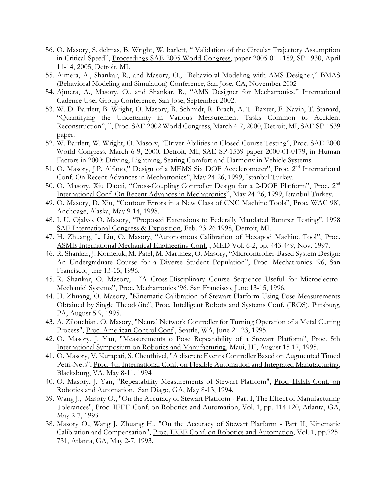- 56. O. Masory, S. delmas, B. Wright, W. barlett, " Validation of the Circular Trajectory Assumption in Critical Speed", Proceedings SAE 2005 World Congress, paper 2005-01-1189, SP-1930, April 11-14, 2005, Detroit, MI.
- 55. Ajmera, A., Shankar, R., and Masory, O., "Behavioral Modeling with AMS Designer," BMAS (Behavioral Modeling and Simulation) Conference, San Jose, CA, November 2002
- 54. Ajmera, A., Masory, O., and Shankar, R., "AMS Designer for Mechatronics," International Cadence User Group Conference, San Jose, September 2002.
- 53. W. D. Bartlett, B. Wright, O. Masory, B. Schmidt, R. Brach, A. T. Baxter, F. Navin, T. Stanard, "Quantifying the Uncertainty in Various Measurement Tasks Common to Accident Reconstruction",", Proc. SAE 2002 World Congress, March 4-7, 2000, Detroit, MI, SAE SP-1539 paper.
- 52. W. Bartlett, W. Wright, O. Masory, "Driver Abilities in Closed Course Testing", Proc. SAE 2000 World Congress, March 6-9, 2000, Detroit, MI, SAE SP-1539 paper 2000-01-0179, in Human Factors in 2000: Driving, Lightning, Seating Comfort and Harmony in Vehicle Systems.
- 51. O. Masory, J.P. Alfano," Design of a MEMS Six DOF Accelerometer", Proc. 2<sup>nd</sup> International Conf. On Recent Advances in Mechatronics", May 24-26, 1999, Istanbul Turkey.
- 50. O. Masory, Xiu Daoxi, "Cross-Coupling Controller Design for a 2-DOF Platform", Proc. 2<sup>nd</sup> International Conf. On Recent Advances in Mechatronics", May 24-26, 1999, Istanbul Turkey.
- 49. O. Masory, D. Xiu, "Contour Errors in a New Class of CNC Machine Tools", Proc. WAC 98', Anchoage, Alaska, May 9-14, 1998.
- 48. I. U. Ojalvo, O. Masory, "Proposed Extensions to Federally Mandated Bumper Testing", 1998 SAE International Congress & Exposition, Feb. 23-26 1998, Detroit, MI.
- 47. H. Zhuang, L. Liu, O. Masory, "Autonomous Calibration of Hexapod Machine Tool", Proc. ASME International Mechanical Engineering Conf. , MED Vol. 6-2, pp. 443-449, Nov. 1997.
- 46. R. Shankar, J. Korneluk, M. Patel, M. Martinez, O. Masory, "Micrcontroller-Based System Design: An Undergraduate Course for a Diverse Student Population", Proc. Mechatronics '96, San Francisco, June 13-15, 1996.
- 45. R. Shankar, O. Masory, "A Cross-Disciplinary Course Sequence Useful for Microelectro-Mechanicl Systems", Proc. Mechatronics '96, San Francisco, June 13-15, 1996.
- 44. H. Zhuang, O. Masory, "Kinematic Calibration of Stewart Platform Using Pose Measurements Obtained by Single Theodolite", Proc. Intelligent Robots and Systems Conf. (IROS), Pittsburg, PA, August 5-9, 1995.
- 43. A. Zilouchian, O. Masory, "Neural Network Controller for Turning Operation of a Metal Cutting Process", Proc. American Control Conf., Seattle, WA, June 21-23, 1995.
- 42. O. Masory, J. Yan, "Measurements o Pose Repeatability of a Stewart Platform", Proc. 5th International Symposium on Robotics and Manufacturing, Maui, HI, August 15-17, 1995.
- 41. O. Masory, V. Kurapati, S. Chenthivel, "A discrete Events Controller Based on Augmented Timed Petri-Nets", Proc. 4th International Conf. on Flexible Automation and Integrated Manufacturing, Blacksburg, VA, May 8-11, 1994
- 40. O. Masory, J. Yan, "Repeatability Measurements of Stewart Platform", Proc. IEEE Conf. on Robotics and Automation, San Diago, GA, May 8-13, 1994.
- 39. Wang J., Masory O., "On the Accuracy of Stewart Platform Part I, The Effect of Manufacturing Tolerances", Proc. IEEE Conf. on Robotics and Automation, Vol. 1, pp. 114-120, Atlanta, GA, May 2-7, 1993.
- 38. Masory O., Wang J. Zhuang H., "On the Accuracy of Stewart Platform Part II, Kinematic Calibration and Compensation", Proc. IEEE Conf. on Robotics and Automation, Vol. 1, pp.725-731, Atlanta, GA, May 2-7, 1993.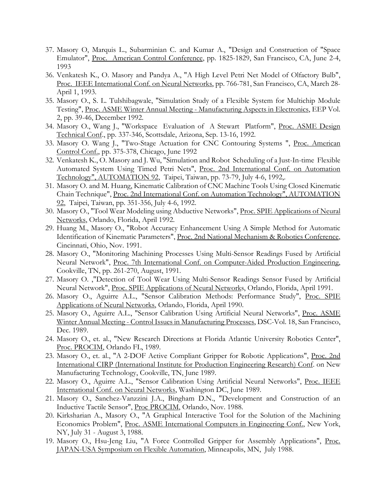- 37. Masory O, Marquis L., Subarminian C. and Kumar A., "Design and Construction of "Space Emulator", Proc. American Control Conference, pp. 1825-1829, San Francisco, CA, June 2-4, 1993
- 36. Venkatesh K., O. Masory and Pandya A., "A High Level Petri Net Model of Olfactory Bulb", Proc. IEEE International Conf. on Neural Networks, pp. 766-781, San Francisco, CA, March 28- April 1, 1993.
- 35. Masory O., S. L. Tulshibagwale, "Simulation Study of a Flexible System for Multichip Module Testing", Proc. ASME Winter Annual Meeting - Manufacturing Aspects in Electronics, EEP Vol. 2, pp. 39-46, December 1992.
- 34. Masory O., Wang J., "Workspace Evaluation of A Stewart Platform", Proc. ASME Design Technical Conf., pp. 337-346, Scottsdale, Arizona, Sep. 13-16, 1992.
- 33. Masory O. Wang J., "Two-Stage Actuation for CNC Contouring Systems ", Proc. American Control Conf., pp. 375-378, Chicago, June 1992
- 32. Venkatesh K., O. Masory and J. Wu, "Simulation and Robot Scheduling of a Just-In-time Flexible Automated System Using Timed Petri Nets", Proc. 2nd International Conf. on Automation Technology", AUTOMATION 92, Taipei, Taiwan, pp. 73-79, July 4-6, 1992,.
- 31. Masory O. and M. Huang, Kinematic Calibration of CNC Machine Tools Using Closed Kinematic Chain Technique", Proc. 2nd International Conf. on Automation Technology", AUTOMATION 92, Taipei, Taiwan, pp. 351-356, July 4-6, 1992.
- 30. Masory O., "Tool Wear Modeling using Abductive Networks", Proc. SPIE Applications of Neural Networks, Orlando, Florida, April 1992.
- 29. Huang M., Masory O., "Robot Accuracy Enhancement Using A Simple Method for Automatic Identification of Kinematic Parameters", Proc. 2nd National Mechanism & Robotics Conference, Cincinnati, Ohio, Nov. 1991.
- 28. Masory O., "Monitoring Machining Processes Using Multi-Sensor Readings Fused by Artificial Neural Network", Proc. 7th International Conf. on Computer-Aided Production Engineering, Cookville, TN, pp. 261-270, August, 1991.
- 27. Masory O. ,"Detection of Tool Wear Using Multi-Sensor Readings Sensor Fused by Artificial Neural Network", Proc. SPIE Applications of Neural Networks, Orlando, Florida, April 1991.
- 26. Masory O., Aguirre A.L., "Sensor Calibration Methods: Performance Study", Proc. SPIE Applications of Neural Networks, Orlando, Florida, April 1990.
- 25. Masory O., Aguirre A.L., "Sensor Calibration Using Artificial Neural Networks", Proc. ASME Winter Annual Meeting - Control Issues in Manufacturing Processes, DSC-Vol. 18, San Francisco, Dec. 1989.
- 24. Masory O., et. al., "New Research Directions at Florida Atlantic University Robotics Center", Proc. PROCIM, Orlando FL, 1989.
- 23. Masory O., et. al., "A 2-DOF Active Compliant Gripper for Robotic Applications", Proc. 2nd International CIRP (International Institute for Production Engineering Research) Conf. on New Manufacturing Technology, Cookville, TN, June 1989.
- 22. Masory O., Aguirre A.L., "Sensor Calibration Using Artificial Neural Networks", Proc. IEEE International Conf. on Neural Networks, Washington DC, June 1989.
- 21. Masory O., Sanchez-Vanzzini J.A., Bingham D.N., "Development and Construction of an Inductive Tactile Sensor", Proc PROCIM, Orlando, Nov. 1988.
- 20. Kirksharian A., Masory O., "A Graphical Interactive Tool for the Solution of the Machining Economics Problem", Proc. ASME International Computers in Engineering Conf., New York, NY, July 31 - August 3, 1988.
- 19. Masory O., Hsu-Jeng Liu, "A Force Controlled Gripper for Assembly Applications", Proc. JAPAN-USA Symposium on Flexible Automation, Minneapolis, MN, July 1988.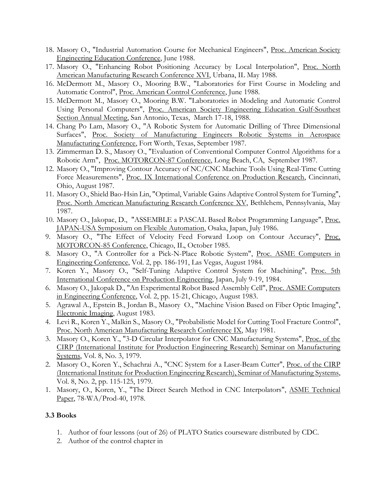- 18. Masory O., "Industrial Automation Course for Mechanical Engineers", Proc. American Society Engineering Education Conference, June 1988.
- 17. Masory O., "Enhancing Robot Positioning Accuracy by Local Interpolation", Proc. North American Manufacturing Research Conference XVI, Urbana, IL May 1988.
- 16. McDermott M., Masory O., Mooring B.W., "Laboratories for First Course in Modeling and Automatic Control", Proc. American Control Conference, June 1988.
- 15. McDermott M., Masory O., Mooring B.W. "Laboratories in Modeling and Automatic Control Using Personal Computers", Proc. American Society Engineering Education Gulf-Southest Section Annual Meeting, San Antonio, Texas, March 17-18, 1988.
- 14. Chang Po Lam, Masory O., "A Robotic System for Automatic Drilling of Three Dimensional Surfaces", Proc. Society of Manufacturing Engineers Robotic Systems in Aerospace Manufacturing Conference, Fort Worth, Texas, September 1987.
- 13. Zimmerman D. S., Masory O., "Evaluation of Conventional Computer Control Algorithms for a Robotic Arm", Proc. MOTORCON-87 Conference, Long Beach, CA, September 1987.
- 12. Masory O., "Improving Contour Accuracy of NC/CNC Machine Tools Using Real-Time Cutting Force Measurements", Proc. IX International Conference on Production Research, Cincinnati, Ohio, August 1987.
- 11. Masory O., Shield Bao-Hsin Lin, "Optimal, Variable Gains Adaptive Control System for Turning", Proc. North American Manufacturing Research Conference XV, Bethlehem, Pennsylvania, May 1987.
- 10. Masory O., Jakopac, D., "ASSEMBLE a PASCAL Based Robot Programming Language", Proc. JAPAN-USA Symposium on Flexible Automation, Osaka, Japan, July 1986.
- 9. Masory O., "The Effect of Velocity Feed Forward Loop on Contour Accuracy", Proc. MOTORCON-85 Conference, Chicago, IL, October 1985.
- 8. Masory O., "A Controller for a Pick-N-Place Robotic System", Proc. ASME Computers in Engineering Conference, Vol. 2, pp. 186-191, Las Vegas, August 1984.
- 7. Koren Y., Masory O., "Self-Tuning Adaptive Control System for Machining", Proc. 5th International Conference on Production Engineering, Japan, July 9-19, 1984.
- 6. Masory O., Jakopak D., "An Experimental Robot Based Assembly Cell", Proc. ASME Computers in Engineering Conference, Vol. 2, pp. 15-21, Chicago, August 1983.
- 5. Agrawal A., Epstein B., Jordan B., Masory O., "Machine Vision Based on Fiber Optic Imaging", Electronic Imaging, August 1983.
- 4. Levi R., Koren Y., Malkin S., Masory O., "Probabilistic Model for Cutting Tool Fracture Control", Proc. North American Manufacturing Research Conference IX, May 1981.
- 3. Masory O., Koren Y., "3-D Circular Interpolator for CNC Manufacturing Systems", Proc. of the CIRP (International Institute for Production Engineering Research) Seminar on Manufacturing Systems, Vol. 8, No. 3, 1979.
- 2. Masory O., Koren Y., Schachrai A., "CNC System for a Laser-Beam Cutter", Proc. of the CIRP (International Institute for Production Engineering Research), Seminar of Manufacturing Systems, Vol. 8, No. 2, pp. 115-125, 1979.
- 1. Masory, O., Koren, Y., "The Direct Search Method in CNC Interpolators", ASME Technical Paper, 78-WA/Prod-40, 1978.

# **3.3 Books**

- 1. Author of four lessons (out of 26) of PLATO Statics courseware distributed by CDC.
- 2. Author of the control chapter in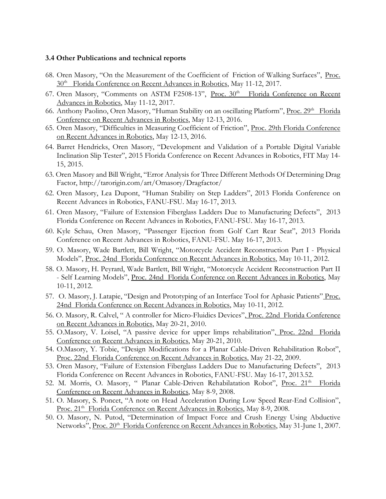### **3.4 Other Publications and technical reports**

- 68. Oren Masory, "On the Measurement of the Coefficient of Friction of Walking Surfaces", Proc. 30<sup>th</sup> Florida Conference on Recent Advances in Robotics, May 11-12, 2017.
- 67. Oren Masory, "Comments on ASTM F2508-13", Proc. 30<sup>th</sup> Florida Conference on Recent Advances in Robotics, May 11-12, 2017.
- 66. Anthony Paolino, Oren Masory, "Human Stability on an oscillating Platform", Proc. 29<sup>th</sup> Florida Conference on Recent Advances in Robotics, May 12-13, 2016.
- 65. Oren Masory, "Difficulties in Measuring Coefficient of Friction", Proc. 29th Florida Conference on Recent Advances in Robotics, May 12-13, 2016.
- 64. Barret Hendricks, Oren Masory, "Development and Validation of a Portable Digital Variable Inclination Slip Tester", 2015 Florida Conference on Recent Advances in Robotics, FIT May 14- 15, 2015.
- 63. Oren Masory and Bill Wright, "Error Analysis for Three Different Methods Of Determining Drag Factor, http://tarorigin.com/art/Omasory/Dragfactor/
- 62. Oren Masory, Lea Dupont, "Human Stability on Step Ladders", 2013 Florida Conference on Recent Advances in Robotics, FANU-FSU. May 16-17, 2013.
- 61. Oren Masory, "Failure of Extension Fiberglass Ladders Due to Manufacturing Defects", 2013 Florida Conference on Recent Advances in Robotics, FANU-FSU. May 16-17, 2013.
- 60. Kyle Schau, Oren Masory, "Passenger Ejection from Golf Cart Rear Seat", 2013 Florida Conference on Recent Advances in Robotics, FANU-FSU. May 16-17, 2013.
- 59. O. Masory, Wade Bartlett, Bill Wright, "Motorcycle Accident Reconstruction Part I Physical Models", Proc. 24nd Florida Conference on Recent Advances in Robotics, May 10-11, 2012.
- 58. O. Masory, H. Peyrard, Wade Bartlett, Bill Wright, "Motorcycle Accident Reconstruction Part II - Self Learning Models", Proc. 24nd Florida Conference on Recent Advances in Robotics, May 10-11, 2012.
- 57. O. Masory, J. Latapie, "Design and Prototyping of an Interface Tool for Aphasic Patients" Proc. 24nd Florida Conference on Recent Advances in Robotics, May 10-11, 2012.
- 56. O. Masory, R. Calvel, " A controller for Micro-Fluidics Devices", Proc. 22nd Florida Conference on Recent Advances in Robotics, May 20-21, 2010.
- 55. O.Masory, V. Loisel, "A passive device for upper limps rehabilitation", Proc. 22nd Florida Conference on Recent Advances in Robotics, May 20-21, 2010.
- 54. O.Masory, Y. Tobie, "Design Modifications for a Planar Cable-Driven Rehabilitation Robot", Proc. 22nd Florida Conference on Recent Advances in Robotics, May 21-22, 2009.
- 53. Oren Masory, "Failure of Extension Fiberglass Ladders Due to Manufacturing Defects", 2013 Florida Conference on Recent Advances in Robotics, FANU-FSU. May 16-17, 2013.52.
- 52. M. Morris, O. Masory, " Planar Cable-Driven Rehabilatation Robot", Proc. 21<sup>th</sup> Florida Conference on Recent Advances in Robotics, May 8-9, 2008.
- 51. O. Masory, S. Poncet, "A note on Head Acceleration During Low Speed Rear-End Collision", Proc. 21<sup>th</sup> Florida Conference on Recent Advances in Robotics, May 8-9, 2008.
- 50. O. Masory, N. Putod, "Determination of Impact Force and Crush Energy Using Abductive Networks", Proc. 20<sup>th</sup> Florida Conference on Recent Advances in Robotics, May 31-June 1, 2007.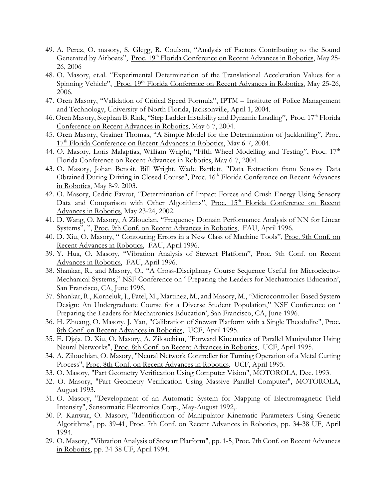- 49. A. Perez, O. masory, S. Glegg, R. Coulson, "Analysis of Factors Contributing to the Sound Generated by Airboats", Proc. 19<sup>th</sup> Florida Conference on Recent Advances in Robotics, May 25-26, 2006
- 48. O. Masory, et.al. "Experimental Determination of the Translational Acceleration Values for a Spinning Vehicle", Proc. 19<sup>th</sup> Florida Conference on Recent Advances in Robotics, May 25-26, 2006.
- 47. Oren Masory, "Validation of Critical Speed Formula", IPTM Institute of Police Management and Technology, University of North Florida, Jacksonville, April 1, 2004.
- 46. Oren Masory, Stephan B. Rink, "Step Ladder Instability and Dynamic Loading", Proc. 17<sup>th</sup> Florida Conference on Recent Advances in Robotics, May 6-7, 2004.
- 45. Oren Masory, Grainer Thomas, "A Simple Model for the Determination of Jackknifing", Proc. 17<sup>th</sup> Florida Conference on Recent Advances in Robotics, May 6-7, 2004.
- 44. O. Masory, Loris Malaptias, William Wright, "Fifth Wheel Modelling and Testing", Proc. 17<sup>th</sup> Florida Conference on Recent Advances in Robotics, May 6-7, 2004.
- 43. O. Masory, Johan Benoit, Bill Wright, Wade Bartlett, "Data Extraction from Sensory Data Obtained During Driving in Closed Course", Proc. 16<sup>th</sup> Florida Conference on Recent Advances in Robotics, May 8-9, 2003.
- 42. O. Masory, Cedric Favrot, "Determination of Impact Forces and Crush Energy Using Sensory Data and Comparison with Other Algorithms", Proc. 15<sup>th</sup> Florida Conference on Recent Advances in Robotics, May 23-24, 2002.
- 41. D. Wang, O. Masory, A Ziloucian, "Frequency Domain Performance Analysis of NN for Linear Systems", ", Proc. 9th Conf. on Recent Advances in Robotics, FAU, April 1996.
- 40. D. Xiu, O. Masory, " Contouring Errors in a New Class of Machine Tools", Proc. 9th Conf. on Recent Advances in Robotics, FAU, April 1996.
- 39. Y. Hua, O. Masory, "Vibration Analysis of Stewart Platform", Proc. 9th Conf. on Recent Advances in Robotics, FAU, April 1996.
- 38. Shankar, R., and Masory, O., "A Cross-Disciplinary Course Sequence Useful for Microelectro-Mechanical Systems," NSF Conference on ' Preparing the Leaders for Mechatronics Education', San Francisco, CA, June 1996.
- 37. Shankar, R., Korneluk, J., Patel, M., Martinez, M., and Masory, M., "Microcontroller-Based System Design: An Undergraduate Course for a Diverse Student Population," NSF Conference on ' Preparing the Leaders for Mechatronics Education', San Francisco, CA, June 1996.
- 36. H. Zhuang, O. Masory, J. Yan, "Calibration of Stewart Platform with a Single Theodolite", Proc. 8th Conf. on Recent Advances in Robotics, UCF, April 1995.
- 35. E. Djaja, D. Xiu, O. Masory, A. Zilouchian, "Forward Kinematics of Parallel Manipulator Using Neural Networks", Proc. 8th Conf. on Recent Advances in Robotics, UCF, April 1995.
- 34. A. Zilouchian, O. Masory, "Neural Network Controller for Turning Operation of a Metal Cutting Process", Proc. 8th Conf. on Recent Advances in Robotics, UCF, April 1995.
- 33. O. Masory, "Part Geometry Verification Using Computer Vision", MOTOROLA, Dec. 1993.
- 32. O. Masory, "Part Geometry Verification Using Massive Parallel Computer", MOTOROLA, August 1993.
- 31. O. Masory, "Development of an Automatic System for Mapping of Electromagnetic Field Intensity", Sensormatic Electronics Corp., May-August 1992,.
- 30. P. Kanwar, O. Masory, "Identification of Manipulator Kinematic Parameters Using Genetic Algorithms", pp. 39-41, Proc. 7th Conf. on Recent Advances in Robotics, pp. 34-38 UF, April 1994.
- 29. O. Masory, "Vibration Analysis of Stewart Platform", pp. 1-5, Proc. 7th Conf. on Recent Advances in Robotics, pp. 34-38 UF, April 1994.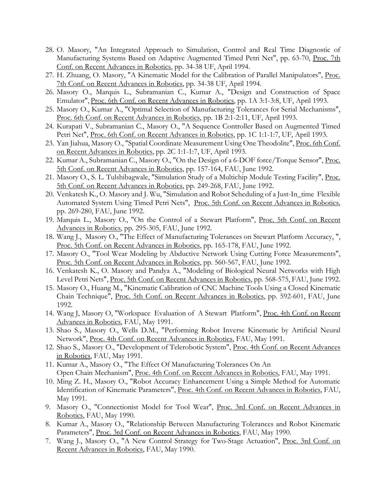- 28. O. Masory, "An Integrated Approach to Simulation, Control and Real Time Diagnostic of Manufacturing Systems Based on Adaptive Augmented Timed Petri Net", pp. 63-70, Proc. 7th Conf. on Recent Advances in Robotics, pp. 34-38 UF, April 1994.
- 27. H. Zhuang, O. Masory, "A Kinematic Model for the Calibration of Parallel Manipulators", Proc. 7th Conf. on Recent Advances in Robotics, pp. 34-38 UF, April 1994.
- 26. Masory O., Marquis L., Subramanian C., Kumar A., "Design and Construction of Space Emulator", Proc. 6th Conf. on Recent Advances in Robotics, pp. 1A 3:1-3:8, UF, April 1993.
- 25. Masory O., Kumar A., "Optimal Selection of Manufacturing Tolerances for Serial Mechanisms", Proc. 6th Conf. on Recent Advances in Robotics, pp. 1B 2:1-2:11, UF, April 1993.
- 24. Kurapati V., Subramanian C., Masory O., "A Sequence Controller Based on Augmented Timed Petri Net", Proc. 6th Conf. on Recent Advances in Robotics, pp. 1C 1:1-1:7, UF, April 1993.
- 23. Yan Jiahua, Masory O., "Spatial Coordinate Measurement Using One Theodolite", Proc. 6th Conf. on Recent Advances in Robotics, pp. 2C 1:1-1:7, UF, April 1993.
- 22. Kumar A., Subramanian C., Masory O., "On the Design of a 6-DOF force/Torque Sensor", Proc. 5th Conf. on Recent Advances in Robotics, pp. 157-164, FAU, June 1992.
- 21. Masory O., S. L. Tulshibagwale, "Simulation Study of a Multichip Module Testing Facility", Proc. 5th Conf. on Recent Advances in Robotics, pp. 249-268, FAU, June 1992.
- 20. Venkatesh K., O. Masory and J. Wu, "Simulation and Robot Scheduling of a Just-In\_time Flexible Automated System Using Timed Petri Nets", Proc. 5th Conf. on Recent Advances in Robotics, pp. 269-280, FAU, June 1992.
- 19. Marquis L., Masory O., "On the Control of a Stewart Platform", Proc. 5th Conf. on Recent Advances in Robotics, pp. 295-305, FAU, June 1992.
- 18. Wang J., Masory O., "The Effect of Manufacturing Tolerances on Stewart Platform Accuracy, ", Proc. 5th Conf. on Recent Advances in Robotics, pp. 165-178, FAU, June 1992.
- 17. Masory O., "Tool Wear Modeling by Abductive Network Using Cutting Force Measurements", Proc. 5th Conf. on Recent Advances in Robotics, pp. 560-567, FAU, June 1992.
- 16. Venkatesh K., O. Masory and Pandya A., "Modeling of Biological Neural Networks with High Level Petri Nets", Proc. 5th Conf. on Recent Advances in Robotics, pp. 568-575, FAU, June 1992.
- 15. Masory O., Huang M., "Kinematic Calibration of CNC Machine Tools Using a Closed Kinematic Chain Technique", Proc. 5th Conf. on Recent Advances in Robotics, pp. 592-601, FAU, June 1992.
- 14. Wang J, Masory O, "Workspace Evaluation of A Stewart Platform", Proc. 4th Conf. on Recent Advances in Robotics, FAU, May 1991.
- 13. Shao S., Masory O., Wells D.M., "Performing Robot Inverse Kinematic by Artificial Neural Network", Proc. 4th Conf. on Recent Advances in Robotics, FAU, May 1991.
- 12. Shao S., Masory O., "Development of Telerobotic System", Proc. 4th Conf. on Recent Advances in Robotics, FAU, May 1991.
- 11. Kumar A., Masory O., "The Effect Of Manufacturing Tolerances On An Open Chain Mechanism", Proc. 4th Conf. on Recent Advances in Robotics, FAU, May 1991.
- 10. Ming Z. H., Masory O., "Robot Accuracy Enhancement Using a Simple Method for Automatic Identification of Kinematic Parameters", Proc. 4th Conf. on Recent Advances in Robotics, FAU, May 1991.
- 9. Masory O., "Connectionist Model for Tool Wear", Proc. 3rd Conf. on Recent Advances in Robotics, FAU, May 1990.
- 8. Kumar A., Masory O., "Relationship Between Manufacturing Tolerances and Robot Kinematic Parameters", Proc. 3rd Conf. on Recent Advances in Robotics, FAU, May 1990.
- 7. Wang J., Masory O., "A New Control Strategy for Two-Stage Actuation", Proc. 3rd Conf. on Recent Advances in Robotics, FAU, May 1990.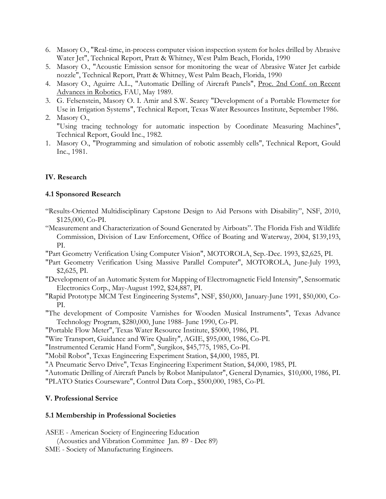- 6. Masory O., "Real-time, in-process computer vision inspection system for holes drilled by Abrasive Water Jet", Technical Report, Pratt & Whitney, West Palm Beach, Florida, 1990
- 5. Masory O., "Acoustic Emission sensor for monitoring the wear of Abrasive Water Jet carbide nozzle", Technical Report, Pratt & Whitney, West Palm Beach, Florida, 1990
- 4. Masory O., Aguirre A.L., "Automatic Drilling of Aircraft Panels", Proc. 2nd Conf. on Recent Advances in Robotics, FAU, May 1989.
- 3. G. Felsenstein, Masory O. I. Amir and S.W. Searcy "Development of a Portable Flowmeter for Use in Irrigation Systems", Technical Report, Texas Water Resources Institute, September 1986.
- 2. Masory O., "Using tracing technology for automatic inspection by Coordinate Measuring Machines", Technical Report, Gould Inc., 1982.
- 1. Masory O., "Programming and simulation of robotic assembly cells", Technical Report, Gould Inc., 1981.

# **IV. Research**

## **4.1 Sponsored Research**

- "Results-Oriented Multidisciplinary Capstone Design to Aid Persons with Disability", NSF, 2010, \$125,000, Co-PI.
- "Measurement and Characterization of Sound Generated by Airboats". The Florida Fish and Wildlife Commission, Division of Law Enforcement, Office of Boating and Waterway, 2004, \$139,193, PI.
- "Part Geometry Verification Using Computer Vision", MOTOROLA, Sep.-Dec. 1993, \$2,625, PI.
- "Part Geometry Verification Using Massive Parallel Computer", MOTOROLA, June-July 1993, \$2,625, PI.
- "Development of an Automatic System for Mapping of Electromagnetic Field Intensity", Sensormatic Electronics Corp., May-August 1992, \$24,887, PI.
- "Rapid Prototype MCM Test Engineering Systems", NSF, \$50,000, January-June 1991, \$50,000, Co-PI.
- "The development of Composite Varnishes for Wooden Musical Instruments", Texas Advance Technology Program, \$280,000, June 1988- June 1990, Co-PI.
- "Portable Flow Meter", Texas Water Resource Institute, \$5000, 1986, PI.
- "Wire Transport, Guidance and Wire Quality", AGIE, \$95,000, 1986, Co-PI.

"Instrumented Ceramic Hand Form", Surgikos, \$45,775, 1985, Co-PI.

"Mobil Robot", Texas Engineering Experiment Station, \$4,000, 1985, PI.

"A Pneumatic Servo Drive", Texas Engineering Experiment Station, \$4,000, 1985, PI.

"Automatic Drilling of Aircraft Panels by Robot Manipulator", General Dynamics, \$10,000, 1986, PI. "PLATO Statics Courseware", Control Data Corp., \$500,000, 1985, Co-PI.

# **V. Professional Service**

## **5.1 Membership in Professional Societies**

ASEE - American Society of Engineering Education

(Acoustics and Vibration Committee Jan. 89 - Dec 89)

SME - Society of Manufacturing Engineers.